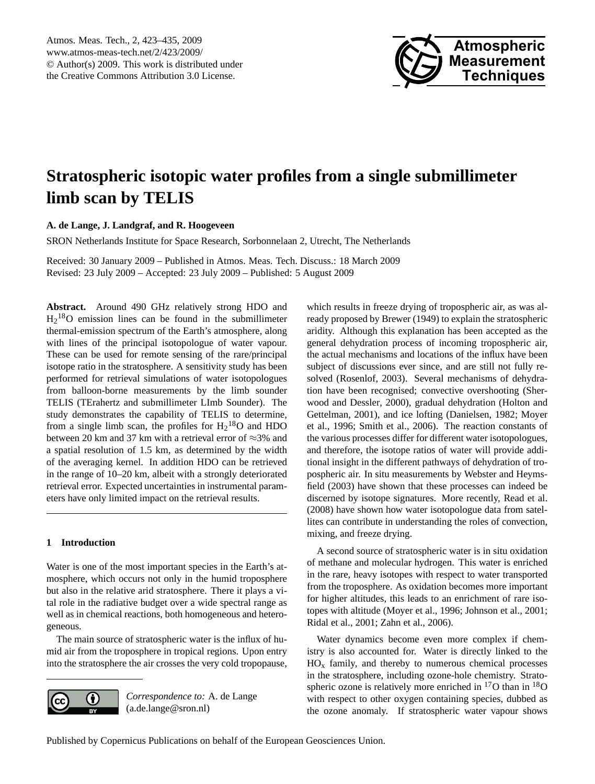

# <span id="page-0-0"></span>**Stratospheric isotopic water profiles from a single submillimeter limb scan by TELIS**

## **A. de Lange, J. Landgraf, and R. Hoogeveen**

SRON Netherlands Institute for Space Research, Sorbonnelaan 2, Utrecht, The Netherlands

Received: 30 January 2009 – Published in Atmos. Meas. Tech. Discuss.: 18 March 2009 Revised: 23 July 2009 – Accepted: 23 July 2009 – Published: 5 August 2009

**Abstract.** Around 490 GHz relatively strong HDO and  $H_2$ <sup>18</sup>O emission lines can be found in the submillimeter thermal-emission spectrum of the Earth's atmosphere, along with lines of the principal isotopologue of water vapour. These can be used for remote sensing of the rare/principal isotope ratio in the stratosphere. A sensitivity study has been performed for retrieval simulations of water isotopologues from balloon-borne measurements by the limb sounder TELIS (TErahertz and submillimeter LImb Sounder). The study demonstrates the capability of TELIS to determine, from a single limb scan, the profiles for  $H_2$ <sup>18</sup>O and HDO between 20 km and 37 km with a retrieval error of ≈3% and a spatial resolution of 1.5 km, as determined by the width of the averaging kernel. In addition HDO can be retrieved in the range of 10–20 km, albeit with a strongly deteriorated retrieval error. Expected uncertainties in instrumental parameters have only limited impact on the retrieval results.

## **1 Introduction**

Water is one of the most important species in the Earth's atmosphere, which occurs not only in the humid troposphere but also in the relative arid stratosphere. There it plays a vital role in the radiative budget over a wide spectral range as well as in chemical reactions, both homogeneous and heterogeneous.

The main source of stratospheric water is the influx of humid air from the troposphere in tropical regions. Upon entry into the stratosphere the air crosses the very cold tropopause,



*Correspondence to:* A. de Lange (a.de.lange@sron.nl)

which results in freeze drying of tropospheric air, as was already proposed by [Brewer](#page-11-0) [\(1949\)](#page-11-0) to explain the stratospheric aridity. Although this explanation has been accepted as the general dehydration process of incoming tropospheric air, the actual mechanisms and locations of the influx have been subject of discussions ever since, and are still not fully resolved [\(Rosenlof,](#page-11-1) [2003\)](#page-11-1). Several mechanisms of dehydration have been recognised; convective overshooting [\(Sher](#page-11-2)[wood and Dessler,](#page-11-2) [2000\)](#page-11-2), gradual dehydration [\(Holton and](#page-11-3) [Gettelman,](#page-11-3) [2001\)](#page-11-3), and ice lofting [\(Danielsen,](#page-11-4) [1982;](#page-11-4) [Moyer](#page-11-5) [et al.,](#page-11-5) [1996;](#page-11-5) [Smith et al.,](#page-11-6) [2006\)](#page-11-6). The reaction constants of the various processes differ for different water isotopologues, and therefore, the isotope ratios of water will provide additional insight in the different pathways of dehydration of tropospheric air. In situ measurements by [Webster and Heyms](#page-11-7)[field](#page-11-7) [\(2003\)](#page-11-7) have shown that these processes can indeed be discerned by isotope signatures. More recently, [Read et al.](#page-11-8) [\(2008\)](#page-11-8) have shown how water isotopologue data from satellites can contribute in understanding the roles of convection, mixing, and freeze drying.

A second source of stratospheric water is in situ oxidation of methane and molecular hydrogen. This water is enriched in the rare, heavy isotopes with respect to water transported from the troposphere. As oxidation becomes more important for higher altitudes, this leads to an enrichment of rare isotopes with altitude [\(Moyer et al.,](#page-11-5) [1996;](#page-11-5) [Johnson et al.,](#page-11-9) [2001;](#page-11-9) [Ridal et al.,](#page-11-10) [2001;](#page-11-10) [Zahn et al.,](#page-12-0) [2006\)](#page-12-0).

Water dynamics become even more complex if chemistry is also accounted for. Water is directly linked to the  $HO<sub>x</sub>$  family, and thereby to numerous chemical processes in the stratosphere, including ozone-hole chemistry. Stratospheric ozone is relatively more enriched in  $^{17}$ O than in  $^{18}$ O with respect to other oxygen containing species, dubbed as the ozone anomaly. If stratospheric water vapour shows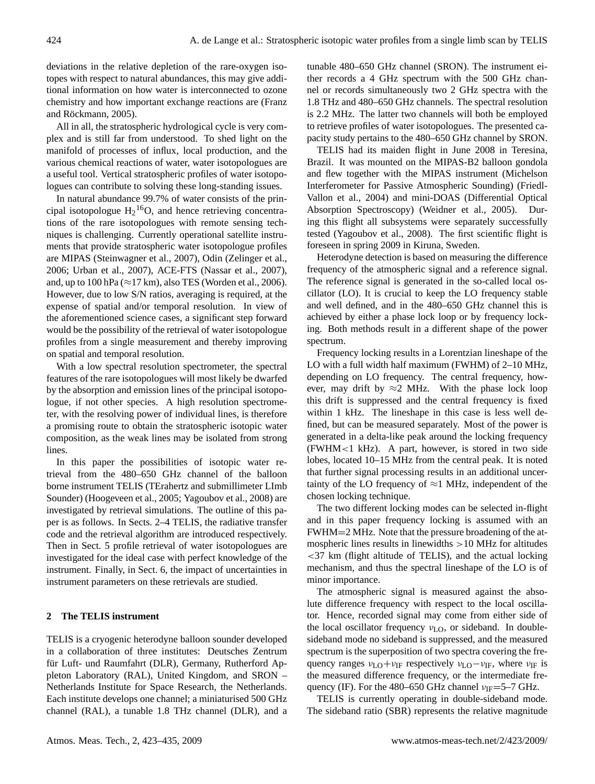deviations in the relative depletion of the rare-oxygen isotopes with respect to natural abundances, this may give additional information on how water is interconnected to ozone chemistry and how important exchange reactions are [\(Franz](#page-11-11) and Röckmann, [2005\)](#page-11-11).

All in all, the stratospheric hydrological cycle is very complex and is still far from understood. To shed light on the manifold of processes of influx, local production, and the various chemical reactions of water, water isotopologues are a useful tool. Vertical stratospheric profiles of water isotopologues can contribute to solving these long-standing issues.

In natural abundance 99.7% of water consists of the principal isotopologue  $H_2$ <sup>16</sup>O, and hence retrieving concentrations of the rare isotopologues with remote sensing techniques is challenging. Currently operational satellite instruments that provide stratospheric water isotopologue profiles are MIPAS [\(Steinwagner et al.,](#page-11-12) [2007\)](#page-11-12), Odin [\(Zelinger et al.,](#page-12-1) [2006;](#page-12-1) [Urban et al.,](#page-11-13) [2007\)](#page-11-13), ACE-FTS [\(Nassar et al.,](#page-11-14) [2007\)](#page-11-14), and, up to 100 hPa ( $\approx$ 17 km), also TES [\(Worden et al.,](#page-11-15) [2006\)](#page-11-15). However, due to low S/N ratios, averaging is required, at the expense of spatial and/or temporal resolution. In view of the aforementioned science cases, a significant step forward would be the possibility of the retrieval of water isotopologue profiles from a single measurement and thereby improving on spatial and temporal resolution.

With a low spectral resolution spectrometer, the spectral features of the rare isotopologues will most likely be dwarfed by the absorption and emission lines of the principal isotopologue, if not other species. A high resolution spectrometer, with the resolving power of individual lines, is therefore a promising route to obtain the stratospheric isotopic water composition, as the weak lines may be isolated from strong lines.

In this paper the possibilities of isotopic water retrieval from the 480–650 GHz channel of the balloon borne instrument TELIS (TErahertz and submillimeter LImb Sounder) [\(Hoogeveen et al.,](#page-11-16) [2005;](#page-11-16) [Yagoubov et al.,](#page-11-17) [2008\)](#page-11-17) are investigated by retrieval simulations. The outline of this paper is as follows. In Sects. [2](#page-1-0)[–4](#page-3-0) TELIS, the radiative transfer code and the retrieval algorithm are introduced respectively. Then in Sect. [5](#page-4-0) profile retrieval of water isotopologues are investigated for the ideal case with perfect knowledge of the instrument. Finally, in Sect. [6,](#page-6-0) the impact of uncertainties in instrument parameters on these retrievals are studied.

## <span id="page-1-0"></span>**2 The TELIS instrument**

TELIS is a cryogenic heterodyne balloon sounder developed in a collaboration of three institutes: Deutsches Zentrum für Luft- und Raumfahrt (DLR), Germany, Rutherford Appleton Laboratory (RAL), United Kingdom, and SRON – Netherlands Institute for Space Research, the Netherlands. Each institute develops one channel; a miniaturised 500 GHz channel (RAL), a tunable 1.8 THz channel (DLR), and a tunable 480–650 GHz channel (SRON). The instrument either records a 4 GHz spectrum with the 500 GHz channel or records simultaneously two 2 GHz spectra with the 1.8 THz and 480–650 GHz channels. The spectral resolution is 2.2 MHz. The latter two channels will both be employed to retrieve profiles of water isotopologues. The presented capacity study pertains to the 480–650 GHz channel by SRON.

TELIS had its maiden flight in June 2008 in Teresina, Brazil. It was mounted on the MIPAS-B2 balloon gondola and flew together with the MIPAS instrument (Michelson Interferometer for Passive Atmospheric Sounding) [\(Friedl-](#page-11-18)[Vallon et al.,](#page-11-18) [2004\)](#page-11-18) and mini-DOAS (Differential Optical Absorption Spectroscopy) [\(Weidner et al.,](#page-11-19) [2005\)](#page-11-19). During this flight all subsystems were separately successfully tested [\(Yagoubov et al.,](#page-11-17) [2008\)](#page-11-17). The first scientific flight is foreseen in spring 2009 in Kiruna, Sweden.

Heterodyne detection is based on measuring the difference frequency of the atmospheric signal and a reference signal. The reference signal is generated in the so-called local oscillator (LO). It is crucial to keep the LO frequency stable and well defined, and in the 480–650 GHz channel this is achieved by either a phase lock loop or by frequency locking. Both methods result in a different shape of the power spectrum.

Frequency locking results in a Lorentzian lineshape of the LO with a full width half maximum (FWHM) of 2–10 MHz, depending on LO frequency. The central frequency, however, may drift by  $\approx$ 2 MHz. With the phase lock loop this drift is suppressed and the central frequency is fixed within 1 kHz. The lineshape in this case is less well defined, but can be measured separately. Most of the power is generated in a delta-like peak around the locking frequency (FWHM<1 kHz). A part, however, is stored in two side lobes, located 10–15 MHz from the central peak. It is noted that further signal processing results in an additional uncertainty of the LO frequency of  $\approx$ 1 MHz, independent of the chosen locking technique.

The two different locking modes can be selected in-flight and in this paper frequency locking is assumed with an FWHM=2 MHz. Note that the pressure broadening of the atmospheric lines results in linewidths >10 MHz for altitudes <37 km (flight altitude of TELIS), and the actual locking mechanism, and thus the spectral lineshape of the LO is of minor importance.

The atmospheric signal is measured against the absolute difference frequency with respect to the local oscillator. Hence, recorded signal may come from either side of the local oscillator frequency  $v_{LO}$ , or sideband. In doublesideband mode no sideband is suppressed, and the measured spectrum is the superposition of two spectra covering the frequency ranges  $v_{\text{LO}}+v_{\text{IF}}$  respectively  $v_{\text{LO}}-v_{\text{IF}}$ , where  $v_{\text{IF}}$  is the measured difference frequency, or the intermediate frequency (IF). For the 480–650 GHz channel  $v_{IF}$ =5–7 GHz.

TELIS is currently operating in double-sideband mode. The sideband ratio (SBR) represents the relative magnitude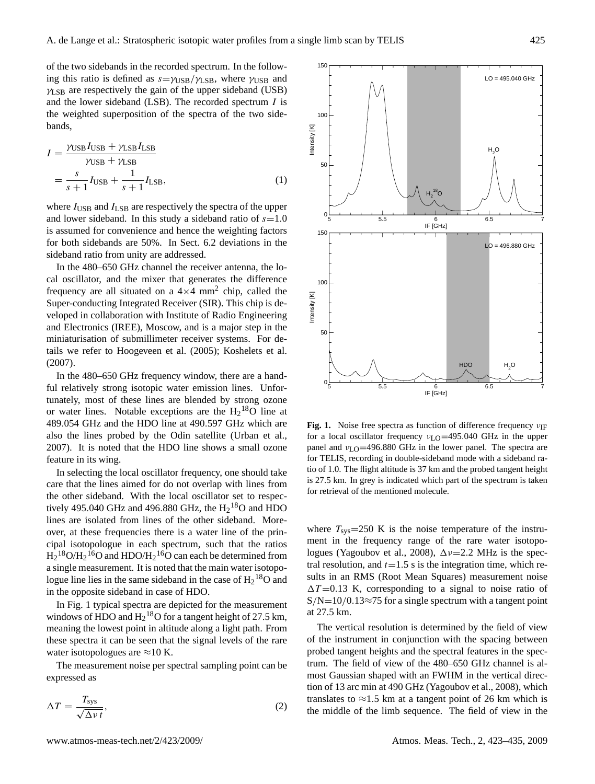150

of the two sidebands in the recorded spectrum. In the following this ratio is defined as  $s = \gamma_{\text{USB}} / \gamma_{\text{LSB}}$ , where  $\gamma_{\text{USB}}$  and  $\gamma$ <sub>LSB</sub> are respectively the gain of the upper sideband (USB) and the lower sideband (LSB). The recorded spectrum  $I$  is the weighted superposition of the spectra of the two sidebands,

<span id="page-2-1"></span>
$$
I = \frac{\gamma_{\text{USB}} I_{\text{USB}} + \gamma_{\text{LSB}} I_{\text{LSB}}}{\gamma_{\text{USB}} + \gamma_{\text{LSB}}}
$$
  
= 
$$
\frac{s}{s+1} I_{\text{USB}} + \frac{1}{s+1} I_{\text{LSB}},
$$
 (1)

where  $I_{\text{USB}}$  and  $I_{\text{LSB}}$  are respectively the spectra of the upper and lower sideband. In this study a sideband ratio of  $s=1.0$ is assumed for convenience and hence the weighting factors for both sidebands are 50%. In Sect. [6.2](#page-8-0) deviations in the sideband ratio from unity are addressed.

In the 480–650 GHz channel the receiver antenna, the local oscillator, and the mixer that generates the difference frequency are all situated on a  $4 \times 4$  mm<sup>2</sup> chip, called the Super-conducting Integrated Receiver (SIR). This chip is developed in collaboration with Institute of Radio Engineering and Electronics (IREE), Moscow, and is a major step in the miniaturisation of submillimeter receiver systems. For details we refer to [Hoogeveen et al.](#page-11-16) [\(2005\)](#page-11-16); [Koshelets et al.](#page-11-20) [\(2007\)](#page-11-20).

In the 480–650 GHz frequency window, there are a handful relatively strong isotopic water emission lines. Unfortunately, most of these lines are blended by strong ozone or water lines. Notable exceptions are the  $H_2$ <sup>18</sup>O line at 489.054 GHz and the HDO line at 490.597 GHz which are also the lines probed by the Odin satellite [\(Urban et al.,](#page-11-13) [2007\)](#page-11-13). It is noted that the HDO line shows a small ozone feature in its wing.

In selecting the local oscillator frequency, one should take care that the lines aimed for do not overlap with lines from the other sideband. With the local oscillator set to respectively 495.040 GHz and 496.880 GHz, the  $H_2^{18}$ O and HDO lines are isolated from lines of the other sideband. Moreover, at these frequencies there is a water line of the principal isotopologue in each spectrum, such that the ratios  $\text{H}_{2}$ <sup>18</sup>O/ $\text{H}_{2}$ <sup>16</sup>O and HDO/ $\text{H}_{2}$ <sup>16</sup>O can each be determined from a single measurement. It is noted that the main water isotopologue line lies in the same sideband in the case of  $H_2^{18}O$  and in the opposite sideband in case of HDO.

In Fig. [1](#page-2-0) typical spectra are depicted for the measurement windows of HDO and  $H_2$ <sup>18</sup>O for a tangent height of 27.5 km, meaning the lowest point in altitude along a light path. From these spectra it can be seen that the signal levels of the rare water isotopologues are  $\approx$ 10 K.

The measurement noise per spectral sampling point can be expressed as

$$
\Delta T = \frac{T_{\text{sys}}}{\sqrt{\Delta v} t},\tag{2}
$$

 $LO = 495.040$  GHz 100 Intensity [K] Intensity [K]  $H_2O$ 50 <sup>18</sup>O  $H<sub>2</sub>$ 0 5 5.5 6 6.5 7 IF [GHz] 150 LO = 496.880 GHz 100 ntensity [K] Intensity [K] 50 HDC  $H<sub>2</sub>O$ 0 5 5.5 6 6.5 7 IF [GHz]

<span id="page-2-0"></span>**Fig. 1.** Noise free spectra as function of difference frequency  $v_{\text{IF}}$ for a local oscillator frequency  $v_{\text{LO}}$ =495.040 GHz in the upper panel and  $v_{LO}$ =496.880 GHz in the lower panel. The spectra are for TELIS, recording in double-sideband mode with a sideband ratio of 1.0. The flight altitude is 37 km and the probed tangent height is 27.5 km. In grey is indicated which part of the spectrum is taken for retrieval of the mentioned molecule.

where  $T_{\rm sys}$ =250 K is the noise temperature of the instrument in the frequency range of the rare water isotopo-logues [\(Yagoubov et al.,](#page-11-17) [2008\)](#page-11-17),  $\Delta \nu = 2.2$  MHz is the spectral resolution, and  $t=1.5$  s is the integration time, which results in an RMS (Root Mean Squares) measurement noise  $\Delta T = 0.13$  K, corresponding to a signal to noise ratio of  $S/N=10/0.13\approx 75$  for a single spectrum with a tangent point at 27.5 km.

The vertical resolution is determined by the field of view of the instrument in conjunction with the spacing between probed tangent heights and the spectral features in the spectrum. The field of view of the 480–650 GHz channel is almost Gaussian shaped with an FWHM in the vertical direction of 13 arc min at 490 GHz [\(Yagoubov et al.,](#page-11-17) [2008\)](#page-11-17), which translates to  $\approx$ 1.5 km at a tangent point of 26 km which is the middle of the limb sequence. The field of view in the

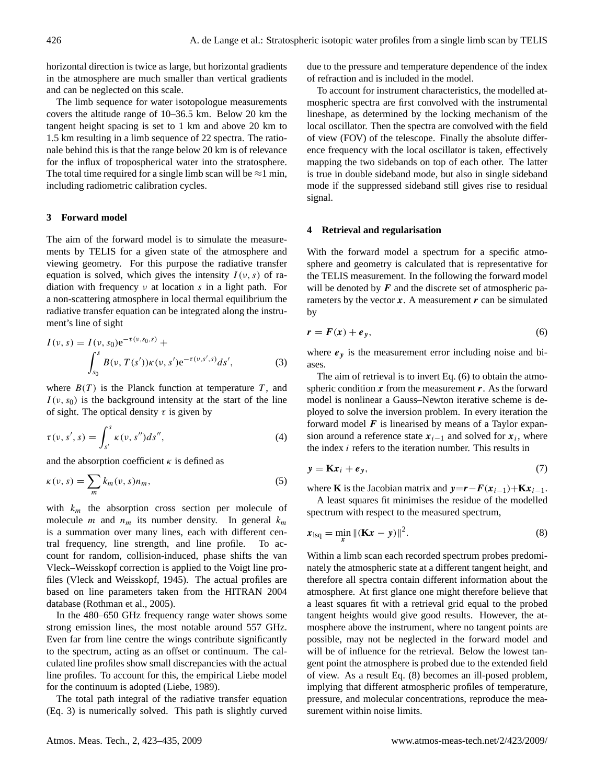horizontal direction is twice as large, but horizontal gradients in the atmosphere are much smaller than vertical gradients and can be neglected on this scale.

The limb sequence for water isotopologue measurements covers the altitude range of 10–36.5 km. Below 20 km the tangent height spacing is set to 1 km and above 20 km to 1.5 km resulting in a limb sequence of 22 spectra. The rationale behind this is that the range below 20 km is of relevance for the influx of tropospherical water into the stratosphere. The total time required for a single limb scan will be  $\approx$ 1 min, including radiometric calibration cycles.

## **3 Forward model**

The aim of the forward model is to simulate the measurements by TELIS for a given state of the atmosphere and viewing geometry. For this purpose the radiative transfer equation is solved, which gives the intensity  $I(v, s)$  of radiation with frequency  $\nu$  at location s in a light path. For a non-scattering atmosphere in local thermal equilibrium the radiative transfer equation can be integrated along the instrument's line of sight

<span id="page-3-1"></span>
$$
I(\nu, s) = I(\nu, s_0) e^{-\tau(\nu, s_0, s)} + \int_{s_0}^s B(\nu, T(s')) \kappa(\nu, s') e^{-\tau(\nu, s', s)} ds',
$$
 (3)

where  $B(T)$  is the Planck function at temperature T, and  $I(v, s_0)$  is the background intensity at the start of the line of sight. The optical density  $\tau$  is given by

$$
\tau(\nu, s', s) = \int_{s'}^{s} \kappa(\nu, s'') ds'', \tag{4}
$$

and the absorption coefficient  $\kappa$  is defined as

$$
\kappa(\nu, s) = \sum_{m} k_m(\nu, s) n_m,
$$
\n(5)

with  $k_m$  the absorption cross section per molecule of molecule *m* and  $n_m$  its number density. In general  $k_m$ is a summation over many lines, each with different central frequency, line strength, and line profile. To account for random, collision-induced, phase shifts the van Vleck–Weisskopf correction is applied to the Voigt line profiles [\(Vleck and Weisskopf,](#page-11-21) [1945\)](#page-11-21). The actual profiles are based on line parameters taken from the HITRAN 2004 database [\(Rothman et al.,](#page-11-22) [2005\)](#page-11-22).

In the 480–650 GHz frequency range water shows some strong emission lines, the most notable around 557 GHz. Even far from line centre the wings contribute significantly to the spectrum, acting as an offset or continuum. The calculated line profiles show small discrepancies with the actual line profiles. To account for this, the empirical Liebe model for the continuum is adopted [\(Liebe,](#page-11-23) [1989\)](#page-11-23).

The total path integral of the radiative transfer equation (Eq. [3\)](#page-3-1) is numerically solved. This path is slightly curved due to the pressure and temperature dependence of the index of refraction and is included in the model.

To account for instrument characteristics, the modelled atmospheric spectra are first convolved with the instrumental lineshape, as determined by the locking mechanism of the local oscillator. Then the spectra are convolved with the field of view (FOV) of the telescope. Finally the absolute difference frequency with the local oscillator is taken, effectively mapping the two sidebands on top of each other. The latter is true in double sideband mode, but also in single sideband mode if the suppressed sideband still gives rise to residual signal.

#### <span id="page-3-0"></span>**4 Retrieval and regularisation**

With the forward model a spectrum for a specific atmosphere and geometry is calculated that is representative for the TELIS measurement. In the following the forward model will be denoted by  $F$  and the discrete set of atmospheric parameters by the vector  $x$ . A measurement  $r$  can be simulated by

<span id="page-3-2"></span>
$$
r = F(x) + e_y,\tag{6}
$$

where  $e_y$  is the measurement error including noise and biases.

The aim of retrieval is to invert Eq. [\(6\)](#page-3-2) to obtain the atmospheric condition  $x$  from the measurement  $r$ . As the forward model is nonlinear a Gauss–Newton iterative scheme is deployed to solve the inversion problem. In every iteration the forward model  $\boldsymbol{F}$  is linearised by means of a Taylor expansion around a reference state  $x_{i-1}$  and solved for  $x_i$ , where the index i refers to the iteration number. This results in

<span id="page-3-4"></span>
$$
y = \mathbf{K}x_i + e_y,\tag{7}
$$

where **K** is the Jacobian matrix and  $y=r-F(x_{i-1})+Kx_{i-1}$ .

A least squares fit minimises the residue of the modelled spectrum with respect to the measured spectrum,

<span id="page-3-3"></span>
$$
x_{\text{lsq}} = \min_{x} ||(\mathbf{K}x - y)||^2.
$$
 (8)

Within a limb scan each recorded spectrum probes predominately the atmospheric state at a different tangent height, and therefore all spectra contain different information about the atmosphere. At first glance one might therefore believe that a least squares fit with a retrieval grid equal to the probed tangent heights would give good results. However, the atmosphere above the instrument, where no tangent points are possible, may not be neglected in the forward model and will be of influence for the retrieval. Below the lowest tangent point the atmosphere is probed due to the extended field of view. As a result Eq. [\(8\)](#page-3-3) becomes an ill-posed problem, implying that different atmospheric profiles of temperature, pressure, and molecular concentrations, reproduce the measurement within noise limits.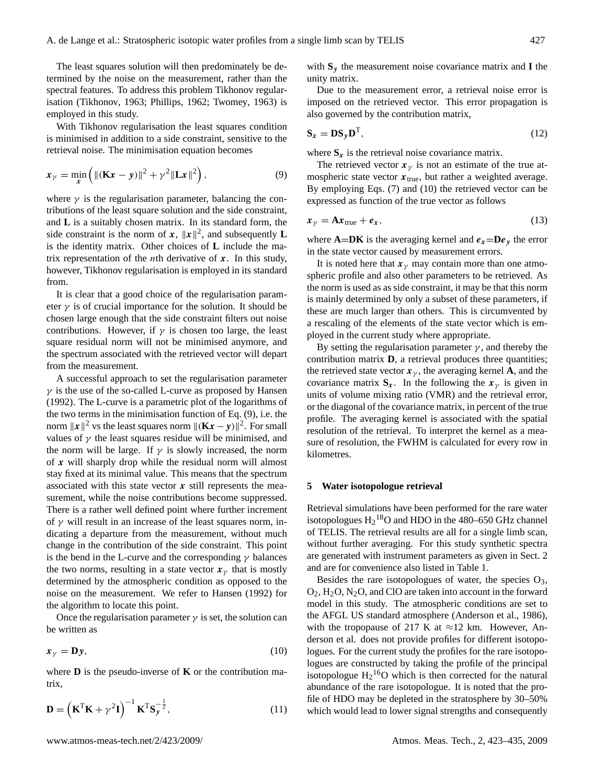The least squares solution will then predominately be determined by the noise on the measurement, rather than the spectral features. To address this problem Tikhonov regularisation [\(Tikhonov,](#page-11-24) [1963;](#page-11-24) [Phillips,](#page-11-25) [1962;](#page-11-25) [Twomey,](#page-11-26) [1963\)](#page-11-26) is employed in this study.

With Tikhonov regularisation the least squares condition is minimised in addition to a side constraint, sensitive to the retrieval noise. The minimisation equation becomes

<span id="page-4-1"></span>
$$
x_{\gamma} = \min_{\mathbf{x}} \left( \|(\mathbf{K}\mathbf{x} - \mathbf{y})\|^2 + \gamma^2 \|\mathbf{L}\mathbf{x}\|^2 \right),\tag{9}
$$

where  $\gamma$  is the regularisation parameter, balancing the contributions of the least square solution and the side constraint, and **L** is a suitably chosen matrix. In its standard form, the side constraint is the norm of  $x$ ,  $||x||^2$ , and subsequently **L** is the identity matrix. Other choices of **L** include the matrix representation of the *n*th derivative of  $x$ . In this study, however, Tikhonov regularisation is employed in its standard from.

It is clear that a good choice of the regularisation parameter  $\gamma$  is of crucial importance for the solution. It should be chosen large enough that the side constraint filters out noise contributions. However, if  $\gamma$  is chosen too large, the least square residual norm will not be minimised anymore, and the spectrum associated with the retrieved vector will depart from the measurement.

A successful approach to set the regularisation parameter  $\gamma$  is the use of the so-called L-curve as proposed by [Hansen](#page-11-27) [\(1992\)](#page-11-27). The L-curve is a parametric plot of the logarithms of the two terms in the minimisation function of Eq. [\(9\)](#page-4-1), i.e. the norm  $||x||^2$  vs the least squares norm  $||(\mathbf{K}x - y)||^2$ . For small values of  $\gamma$  the least squares residue will be minimised, and the norm will be large. If  $\gamma$  is slowly increased, the norm of x will sharply drop while the residual norm will almost stay fixed at its minimal value. This means that the spectrum associated with this state vector  $x$  still represents the measurement, while the noise contributions become suppressed. There is a rather well defined point where further increment of  $\gamma$  will result in an increase of the least squares norm, indicating a departure from the measurement, without much change in the contribution of the side constraint. This point is the bend in the L-curve and the corresponding  $\gamma$  balances the two norms, resulting in a state vector  $x<sub>y</sub>$  that is mostly determined by the atmospheric condition as opposed to the noise on the measurement. We refer to [Hansen](#page-11-27) [\(1992\)](#page-11-27) for the algorithm to locate this point.

Once the regularisation parameter  $\gamma$  is set, the solution can be written as

<span id="page-4-2"></span>
$$
x_{\gamma} = \mathbf{D}y,\tag{10}
$$

where **D** is the pseudo-inverse of **K** or the contribution matrix,

$$
\mathbf{D} = \left(\mathbf{K}^{\mathrm{T}}\mathbf{K} + \gamma^2 \mathbf{I}\right)^{-1} \mathbf{K}^{\mathrm{T}} \mathbf{S}_{\mathbf{y}}^{-\frac{1}{2}},\tag{11}
$$

with **S**<sup>y</sup> the measurement noise covariance matrix and **I** the unity matrix.

Due to the measurement error, a retrieval noise error is imposed on the retrieved vector. This error propagation is also governed by the contribution matrix,

$$
\mathbf{S}_x = \mathbf{D}\mathbf{S}_y \mathbf{D}^\mathrm{T},\tag{12}
$$

where  $S_x$  is the retrieval noise covariance matrix.

The retrieved vector  $x_{\gamma}$  is not an estimate of the true atmospheric state vector  $x_{true}$ , but rather a weighted average. By employing Eqs. [\(7\)](#page-3-4) and [\(10\)](#page-4-2) the retrieved vector can be expressed as function of the true vector as follows

$$
x_{\gamma} = \mathbf{A} x_{\text{true}} + e_x, \tag{13}
$$

where  $A=DK$  is the averaging kernel and  $e_x=De_y$  the error in the state vector caused by measurement errors.

It is noted here that  $x<sub>y</sub>$  may contain more than one atmospheric profile and also other parameters to be retrieved. As the norm is used as as side constraint, it may be that this norm is mainly determined by only a subset of these parameters, if these are much larger than others. This is circumvented by a rescaling of the elements of the state vector which is employed in the current study where appropriate.

By setting the regularisation parameter  $\gamma$ , and thereby the contribution matrix **D**, a retrieval produces three quantities; the retrieved state vector  $x_{\gamma}$ , the averaging kernel **A**, and the covariance matrix  $S_x$ . In the following the  $x_y$  is given in units of volume mixing ratio (VMR) and the retrieval error, or the diagonal of the covariance matrix, in percent of the true profile. The averaging kernel is associated with the spatial resolution of the retrieval. To interpret the kernel as a measure of resolution, the FWHM is calculated for every row in kilometres.

## <span id="page-4-0"></span>**5 Water isotopologue retrieval**

Retrieval simulations have been performed for the rare water isotopologues  $H_2$ <sup>18</sup>O and HDO in the 480–650 GHz channel of TELIS. The retrieval results are all for a single limb scan, without further averaging. For this study synthetic spectra are generated with instrument parameters as given in Sect. [2](#page-1-0) and are for convenience also listed in Table [1.](#page-5-0)

Besides the rare isotopologues of water, the species  $O_3$ ,  $O_2$ ,  $H_2O$ ,  $N_2O$ , and ClO are taken into account in the forward model in this study. The atmospheric conditions are set to the AFGL US standard atmosphere [\(Anderson et al.,](#page-11-28) [1986\)](#page-11-28), with the tropopause of 217 K at  $\approx$ 12 km. However, [An](#page-11-28)[derson et al.](#page-11-28) does not provide profiles for different isotopologues. For the current study the profiles for the rare isotopologues are constructed by taking the profile of the principal isotopologue  $H_2$ <sup>16</sup>O which is then corrected for the natural abundance of the rare isotopologue. It is noted that the profile of HDO may be depleted in the stratosphere by 30–50% which would lead to lower signal strengths and consequently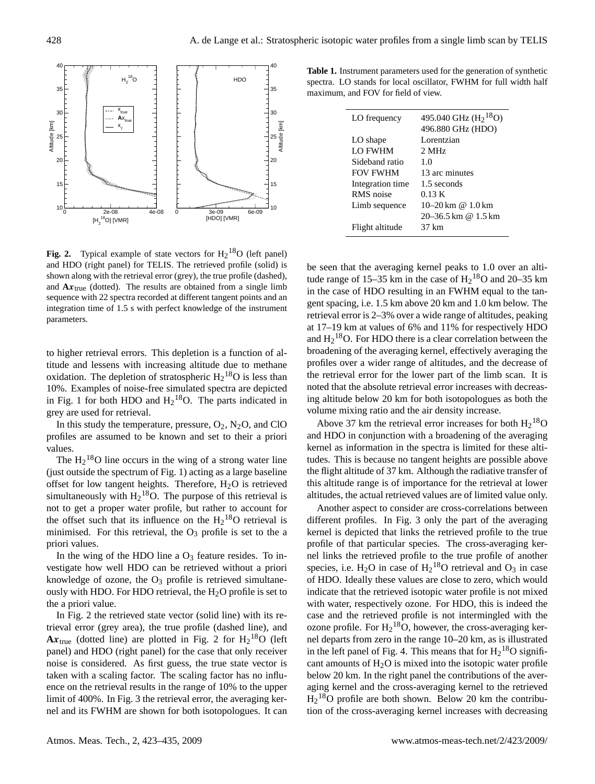

<span id="page-5-1"></span>**Fig. 2.** Typical example of state vectors for  $H_2$ <sup>18</sup>O (left panel) and HDO (right panel) for TELIS. The retrieved profile (solid) is shown along with the retrieval error (grey), the true profile (dashed), and  $A x_{true}$  (dotted). The results are obtained from a single limb sequence with 22 spectra recorded at different tangent points and an integration time of 1.5 s with perfect knowledge of the instrument parameters.

to higher retrieval errors. This depletion is a function of altitude and lessens with increasing altitude due to methane oxidation. The depletion of stratospheric  $H_2^{18}O$  is less than 10%. Examples of noise-free simulated spectra are depicted in Fig. [1](#page-2-0) for both HDO and  $H_2$ <sup>18</sup>O. The parts indicated in grey are used for retrieval.

In this study the temperature, pressure,  $O_2$ ,  $N_2O$ , and ClO profiles are assumed to be known and set to their a priori values.

The  $H_2$ <sup>18</sup>O line occurs in the wing of a strong water line (just outside the spectrum of Fig. [1\)](#page-2-0) acting as a large baseline offset for low tangent heights. Therefore,  $H_2O$  is retrieved simultaneously with  $H_2^{18}O$ . The purpose of this retrieval is not to get a proper water profile, but rather to account for the offset such that its influence on the  $H_2$ <sup>18</sup>O retrieval is minimised. For this retrieval, the  $O_3$  profile is set to the a priori values.

In the wing of the HDO line a  $O_3$  feature resides. To investigate how well HDO can be retrieved without a priori knowledge of ozone, the  $O_3$  profile is retrieved simultaneously with HDO. For HDO retrieval, the  $H<sub>2</sub>O$  profile is set to the a priori value.

In Fig. [2](#page-5-1) the retrieved state vector (solid line) with its retrieval error (grey area), the true profile (dashed line), and  $A x_{true}$  (dotted line) are plotted in Fig. [2](#page-5-1) for  $H_2$ <sup>18</sup>O (left panel) and HDO (right panel) for the case that only receiver noise is considered. As first guess, the true state vector is taken with a scaling factor. The scaling factor has no influence on the retrieval results in the range of 10% to the upper limit of 400%. In Fig. [3](#page-6-1) the retrieval error, the averaging kernel and its FWHM are shown for both isotopologues. It can

<span id="page-5-0"></span>**Table 1.** Instrument parameters used for the generation of synthetic spectra. LO stands for local oscillator, FWHM for full width half maximum, and FOV for field of view.

| LO frequency     | 495.040 GHz $(H218O)$<br>496.880 GHz (HDO) |
|------------------|--------------------------------------------|
| LO shape         | Lorentzian                                 |
| LO FWHM          | 2 MHz                                      |
| Sideband ratio   | 1.0                                        |
| <b>FOV FWHM</b>  | 13 arc minutes                             |
| Integration time | 1.5 seconds                                |
| RMS noise        | 0.13K                                      |
| Limb sequence    | $10-20 \text{ km}$ @ $1.0 \text{ km}$      |
|                  | $20 - 36.5$ km @ 1.5 km                    |
| Flight altitude  | 37 km                                      |

be seen that the averaging kernel peaks to 1.0 over an altitude range of 15–35 km in the case of  $H_2$ <sup>18</sup>O and 20–35 km in the case of HDO resulting in an FWHM equal to the tangent spacing, i.e. 1.5 km above 20 km and 1.0 km below. The retrieval error is 2–3% over a wide range of altitudes, peaking at 17–19 km at values of 6% and 11% for respectively HDO and  $H_2$ <sup>18</sup>O. For HDO there is a clear correlation between the broadening of the averaging kernel, effectively averaging the profiles over a wider range of altitudes, and the decrease of the retrieval error for the lower part of the limb scan. It is noted that the absolute retrieval error increases with decreasing altitude below 20 km for both isotopologues as both the volume mixing ratio and the air density increase.

Above 37 km the retrieval error increases for both  $H_2^{18}O$ and HDO in conjunction with a broadening of the averaging kernel as information in the spectra is limited for these altitudes. This is because no tangent heights are possible above the flight altitude of 37 km. Although the radiative transfer of this altitude range is of importance for the retrieval at lower altitudes, the actual retrieved values are of limited value only.

Another aspect to consider are cross-correlations between different profiles. In Fig. [3](#page-6-1) only the part of the averaging kernel is depicted that links the retrieved profile to the true profile of that particular species. The cross-averaging kernel links the retrieved profile to the true profile of another species, i.e.  $H_2O$  in case of  $H_2^{18}O$  retrieval and  $O_3$  in case of HDO. Ideally these values are close to zero, which would indicate that the retrieved isotopic water profile is not mixed with water, respectively ozone. For HDO, this is indeed the case and the retrieved profile is not intermingled with the ozone profile. For  $H_2^{18}O$ , however, the cross-averaging kernel departs from zero in the range 10–20 km, as is illustrated in the left panel of Fig. [4.](#page-6-2) This means that for  $H_2$ <sup>18</sup>O significant amounts of  $H<sub>2</sub>O$  is mixed into the isotopic water profile below 20 km. In the right panel the contributions of the averaging kernel and the cross-averaging kernel to the retrieved  $H<sub>2</sub><sup>18</sup>O$  profile are both shown. Below 20 km the contribution of the cross-averaging kernel increases with decreasing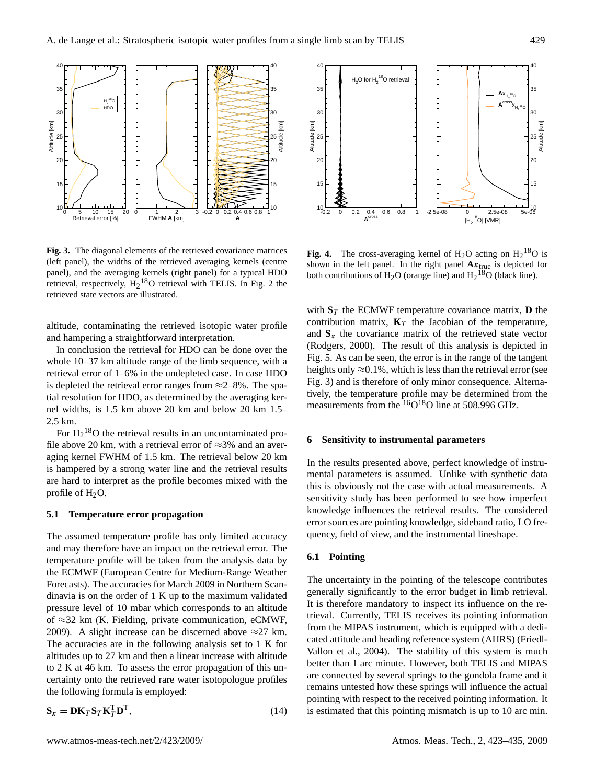

<span id="page-6-1"></span>**Fig. 3.** The diagonal elements of the retrieved covariance matrices (left panel), the widths of the retrieved averaging kernels (centre panel), and the averaging kernels (right panel) for a typical HDO retrieval, respectively,  $H_2$  $H_2$ <sup>18</sup>O retrieval with TELIS. In Fig. 2 the retrieved state vectors are illustrated.

altitude, contaminating the retrieved isotopic water profile and hampering a straightforward interpretation.

In conclusion the retrieval for HDO can be done over the whole 10–37 km altitude range of the limb sequence, with a retrieval error of 1–6% in the undepleted case. In case HDO is depleted the retrieval error ranges from  $\approx$  2–8%. The spatial resolution for HDO, as determined by the averaging kernel widths, is 1.5 km above 20 km and below 20 km 1.5– 2.5 km.

For  $H_2$ <sup>18</sup>O the retrieval results in an uncontaminated profile above 20 km, with a retrieval error of  $\approx$ 3% and an averaging kernel FWHM of 1.5 km. The retrieval below 20 km is hampered by a strong water line and the retrieval results are hard to interpret as the profile becomes mixed with the profile of  $H_2O$ .

#### **5.1 Temperature error propagation**

The assumed temperature profile has only limited accuracy and may therefore have an impact on the retrieval error. The temperature profile will be taken from the analysis data by the ECMWF (European Centre for Medium-Range Weather Forecasts). The accuracies for March 2009 in Northern Scandinavia is on the order of 1 K up to the maximum validated pressure level of 10 mbar which corresponds to an altitude of  $≈32$  km (K. Fielding, private communication, eCMWF, 2009). A slight increase can be discerned above  $\approx$ 27 km. The accuracies are in the following analysis set to 1 K for altitudes up to 27 km and then a linear increase with altitude to 2 K at 46 km. To assess the error propagation of this uncertainty onto the retrieved rare water isotopologue profiles the following formula is employed:

$$
\mathbf{S}_x = \mathbf{D}\mathbf{K}_T \mathbf{S}_T \mathbf{K}_T^{\mathrm{T}} \mathbf{D}^{\mathrm{T}},\tag{14}
$$



<span id="page-6-2"></span>**Fig. 4.** The cross-averaging kernel of  $H_2O$  acting on  $H_2^{18}O$  is shown in the left panel. In the right panel  $A x_{true}$  is depicted for both contributions of  $H_2O$  (orange line) and  $H_2^{18}O$  (black line).

with  $S_T$  the ECMWF temperature covariance matrix, **D** the contribution matrix,  $\mathbf{K}_T$  the Jacobian of the temperature, and  $S<sub>x</sub>$  the covariance matrix of the retrieved state vector [\(Rodgers,](#page-11-29) [2000\)](#page-11-29). The result of this analysis is depicted in Fig. [5.](#page-7-0) As can be seen, the error is in the range of the tangent heights only  $\approx 0.1\%$ , which is less than the retrieval error (see Fig. [3\)](#page-6-1) and is therefore of only minor consequence. Alternatively, the temperature profile may be determined from the measurements from the  ${}^{16}O{}^{18}O$  line at 508.996 GHz.

#### <span id="page-6-0"></span>**6 Sensitivity to instrumental parameters**

In the results presented above, perfect knowledge of instrumental parameters is assumed. Unlike with synthetic data this is obviously not the case with actual measurements. A sensitivity study has been performed to see how imperfect knowledge influences the retrieval results. The considered error sources are pointing knowledge, sideband ratio, LO frequency, field of view, and the instrumental lineshape.

## <span id="page-6-3"></span>**6.1 Pointing**

The uncertainty in the pointing of the telescope contributes generally significantly to the error budget in limb retrieval. It is therefore mandatory to inspect its influence on the retrieval. Currently, TELIS receives its pointing information from the MIPAS instrument, which is equipped with a dedicated attitude and heading reference system (AHRS) [\(Friedl-](#page-11-18)[Vallon et al.,](#page-11-18) [2004\)](#page-11-18). The stability of this system is much better than 1 arc minute. However, both TELIS and MIPAS are connected by several springs to the gondola frame and it remains untested how these springs will influence the actual pointing with respect to the received pointing information. It is estimated that this pointing mismatch is up to 10 arc min.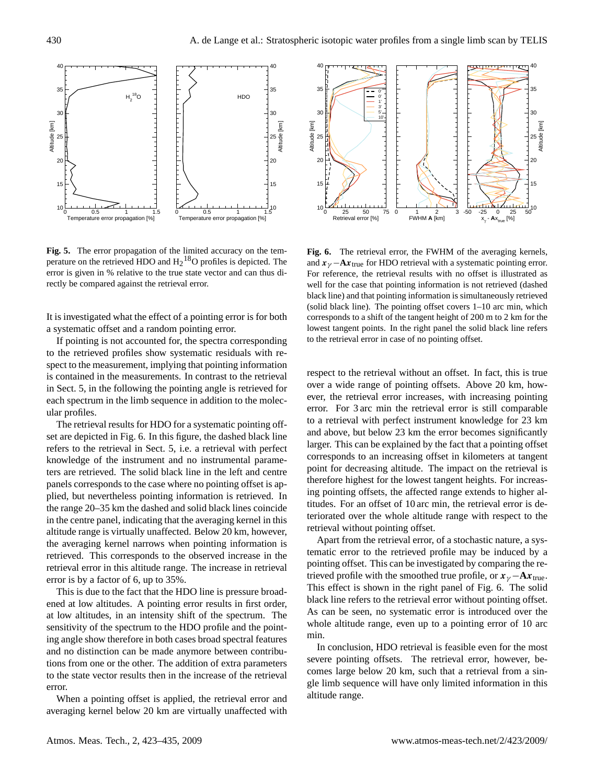

<span id="page-7-0"></span>**Fig. 5.** The error propagation of the limited accuracy on the temperature on the retrieved HDO and  $H_2$ <sup>18</sup>O profiles is depicted. The error is given in % relative to the true state vector and can thus directly be compared against the retrieval error.

It is investigated what the effect of a pointing error is for both a systematic offset and a random pointing error.

in Sect. [5,](#page-4-0) in the following the pointing angle is retrieved for If pointing is not accounted for, the spectra corresponding to the retrieved profiles show systematic residuals with respect to the measurement, implying that pointing information is contained in the measurements. In contrast to the retrieval each spectrum in the limb sequence in addition to the molecular profiles.

The retrieval results for HDO for a systematic pointing offset are depicted in Fig. [6.](#page-7-1) In this figure, the dashed black line refers to the retrieval in Sect. [5,](#page-4-0) i.e. a retrieval with perfect knowledge of the instrument and no instrumental parameters are retrieved. The solid black line in the left and centre panels corresponds to the case where no pointing offset is applied, but nevertheless pointing information is retrieved. In the range 20–35 km the dashed and solid black lines coincide in the centre panel, indicating that the averaging kernel in this altitude range is virtually unaffected. Below 20 km, however, the averaging kernel narrows when pointing information is retrieved. This corresponds to the observed increase in the retrieval error in this altitude range. The increase in retrieval error is by a factor of 6, up to 35%.

This is due to the fact that the HDO line is pressure broadened at low altitudes. A pointing error results in first order, at low altitudes, in an intensity shift of the spectrum. The sensitivity of the spectrum to the HDO profile and the pointing angle show therefore in both cases broad spectral features and no distinction can be made anymore between contributions from one or the other. The addition of extra parameters to the state vector results then in the increase of the retrieval error.

When a pointing offset is applied, the retrieval error and averaging kernel below 20 km are virtually unaffected with



<span id="page-7-1"></span>**Fig. 6.** The retrieval error, the FWHM of the averaging kernels, and  $x_{\gamma}$  −**A** $x_{\text{true}}$  for HDO retrieval with a systematic pointing error. For reference, the retrieval results with no offset is illustrated as well for the case that pointing information is not retrieved (dashed black line) and that pointing information is simultaneously retrieved (solid black line). The pointing offset covers 1–10 arc min, which corresponds to a shift of the tangent height of 200 m to 2 km for the lowest tangent points. In the right panel the solid black line refers to the retrieval error in case of no pointing offset.

respect to the retrieval without an offset. In fact, this is true over a wide range of pointing offsets. Above 20 km, however, the retrieval error increases, with increasing pointing error. For 3 arc min the retrieval error is still comparable to a retrieval with perfect instrument knowledge for 23 km and above, but below 23 km the error becomes significantly larger. This can be explained by the fact that a pointing offset corresponds to an increasing offset in kilometers at tangent point for decreasing altitude. The impact on the retrieval is therefore highest for the lowest tangent heights. For increasing pointing offsets, the affected range extends to higher altitudes. For an offset of 10 arc min, the retrieval error is deteriorated over the whole altitude range with respect to the retrieval without pointing offset.

Apart from the retrieval error, of a stochastic nature, a systematic error to the retrieved profile may be induced by a pointing offset. This can be investigated by comparing the retrieved profile with the smoothed true profile, or  $x_{\gamma} - Ax_{true}$ . This effect is shown in the right panel of Fig. [6.](#page-7-1) The solid black line refers to the retrieval error without pointing offset. As can be seen, no systematic error is introduced over the whole altitude range, even up to a pointing error of 10 arc min.

In conclusion, HDO retrieval is feasible even for the most severe pointing offsets. The retrieval error, however, becomes large below 20 km, such that a retrieval from a single limb sequence will have only limited information in this altitude range.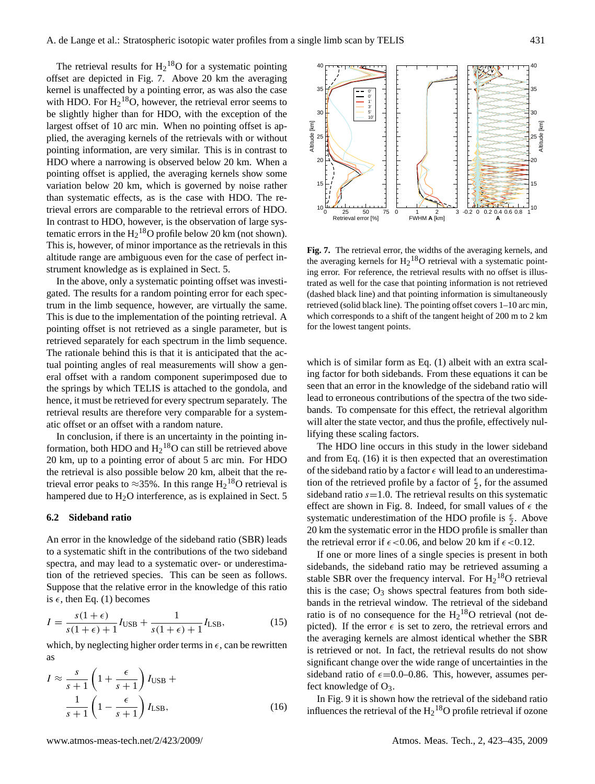The retrieval results for  $H_2^{18}O$  for a systematic pointing offset are depicted in Fig. [7.](#page-8-1) Above 20 km the averaging kernel is unaffected by a pointing error, as was also the case with HDO. For  $H_2$ <sup>18</sup>O, however, the retrieval error seems to be slightly higher than for HDO, with the exception of the largest offset of 10 arc min. When no pointing offset is applied, the averaging kernels of the retrievals with or without pointing information, are very similar. This is in contrast to HDO where a narrowing is observed below 20 km. When a pointing offset is applied, the averaging kernels show some variation below 20 km, which is governed by noise rather than systematic effects, as is the case with HDO. The retrieval errors are comparable to the retrieval errors of HDO. In contrast to HDO, however, is the observation of large systematic errors in the  $H_2$ <sup>18</sup>O profile below 20 km (not shown). This is, however, of minor importance as the retrievals in this altitude range are ambiguous even for the case of perfect instrument knowledge as is explained in Sect. [5.](#page-4-0)

In the above, only a systematic pointing offset was investigated. The results for a random pointing error for each spectrum in the limb sequence, however, are virtually the same. This is due to the implementation of the pointing retrieval. A pointing offset is not retrieved as a single parameter, but is retrieved separately for each spectrum in the limb sequence. The rationale behind this is that it is anticipated that the actual pointing angles of real measurements will show a general offset with a random component superimposed due to the springs by which TELIS is attached to the gondola, and hence, it must be retrieved for every spectrum separately. The retrieval results are therefore very comparable for a systematic offset or an offset with a random nature.

In conclusion, if there is an uncertainty in the pointing information, both HDO and  $H_2$ <sup>18</sup>O can still be retrieved above 20 km, up to a pointing error of about 5 arc min. For HDO the retrieval is also possible below 20 km, albeit that the retrieval error peaks to  $\approx$ 35%. In this range  $H_2$ <sup>18</sup>O retrieval is hampered due to  $H<sub>2</sub>O$  interference, as is explained in Sect. [5](#page-4-0)

#### <span id="page-8-0"></span>**6.2 Sideband ratio**

An error in the knowledge of the sideband ratio (SBR) leads to a systematic shift in the contributions of the two sideband spectra, and may lead to a systematic over- or underestimation of the retrieved species. This can be seen as follows. Suppose that the relative error in the knowledge of this ratio is  $\epsilon$ , then Eq. [\(1\)](#page-2-1) becomes

$$
I = \frac{s(1+\epsilon)}{s(1+\epsilon)+1}I_{\text{USB}} + \frac{1}{s(1+\epsilon)+1}I_{\text{LSB}},\tag{15}
$$

which, by neglecting higher order terms in  $\epsilon$ , can be rewritten as

<span id="page-8-2"></span>
$$
I \approx \frac{s}{s+1} \left( 1 + \frac{\epsilon}{s+1} \right) I_{\text{USB}} + \frac{1}{s+1} \left( 1 - \frac{\epsilon}{s+1} \right) I_{\text{LSB}},
$$
 (16)



<span id="page-8-1"></span>**Fig. 7.** The retrieval error, the widths of the averaging kernels, and the averaging kernels for  $H_2$ <sup>18</sup>O retrieval with a systematic pointing error. For reference, the retrieval results with no offset is illustrated as well for the case that pointing information is not retrieved (dashed black line) and that pointing information is simultaneously retrieved (solid black line). The pointing offset covers 1–10 arc min, which corresponds to a shift of the tangent height of 200 m to 2 km for the lowest tangent points.

which is of similar form as Eq. [\(1\)](#page-2-1) albeit with an extra scaling factor for both sidebands. From these equations it can be seen that an error in the knowledge of the sideband ratio will lead to erroneous contributions of the spectra of the two sidebands. To compensate for this effect, the retrieval algorithm will alter the state vector, and thus the profile, effectively nullifying these scaling factors.

The HDO line occurs in this study in the lower sideband and from Eq. [\(16\)](#page-8-2) it is then expected that an overestimation of the sideband ratio by a factor  $\epsilon$  will lead to an underestimation of the retrieved profile by a factor of  $\frac{\epsilon}{2}$ , for the assumed sideband ratio  $s=1.0$ . The retrieval results on this systematic effect are shown in Fig. [8.](#page-9-0) Indeed, for small values of  $\epsilon$  the systematic underestimation of the HDO profile is  $\frac{\epsilon}{2}$ . Above 20 km the systematic error in the HDO profile is smaller than the retrieval error if  $\epsilon$  < 0.06, and below 20 km if  $\epsilon$  < 0.12.

If one or more lines of a single species is present in both sidebands, the sideband ratio may be retrieved assuming a stable SBR over the frequency interval. For  $H_2$ <sup>18</sup>O retrieval this is the case;  $O_3$  shows spectral features from both sidebands in the retrieval window. The retrieval of the sideband ratio is of no consequence for the  $H_2$ <sup>18</sup>O retrieval (not depicted). If the error  $\epsilon$  is set to zero, the retrieval errors and the averaging kernels are almost identical whether the SBR is retrieved or not. In fact, the retrieval results do not show significant change over the wide range of uncertainties in the sideband ratio of  $\epsilon$ =0.0–0.86. This, however, assumes perfect knowledge of O3.

In Fig. [9](#page-9-1) it is shown how the retrieval of the sideband ratio influences the retrieval of the  $H_2$ <sup>18</sup>O profile retrieval if ozone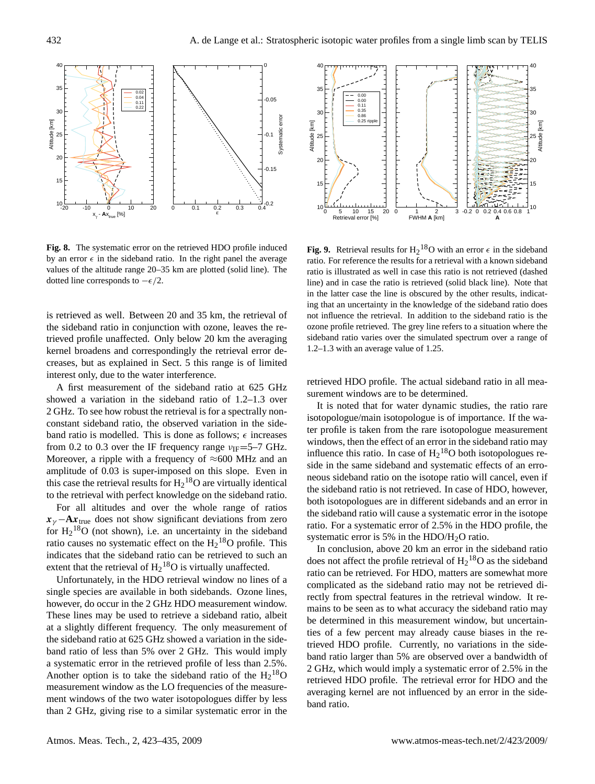

<span id="page-9-0"></span>**Fig. 8.** The systematic error on the retrieved HDO profile induced by an error  $\epsilon$  in the sideband ratio. In the right panel the average values of the altitude range 20–35 km are plotted (solid line). The dotted line corresponds to  $-\epsilon/2$ .

is retrieved as well. Between 20 and 35 km, the retrieval of the sideband ratio in conjunction with ozone, leaves the retrieved profile unaffected. Only below 20 km the averaging kernel broadens and correspondingly the retrieval error decreases, but as explained in Sect. [5](#page-4-0) this range is of limited interest only, due to the water interference.

A first measurement of the sideband ratio at 625 GHz showed a variation in the sideband ratio of 1.2–1.3 over 2 GHz. To see how robust the retrieval is for a spectrally nonconstant sideband ratio, the observed variation in the sideband ratio is modelled. This is done as follows;  $\epsilon$  increases from 0.2 to 0.3 over the IF frequency range  $v_{IF}$ =5–7 GHz. Moreover, a ripple with a frequency of  $\approx$ 600 MHz and an amplitude of 0.03 is super-imposed on this slope. Even in this case the retrieval results for  $H_2$ <sup>18</sup>O are virtually identical to the retrieval with perfect knowledge on the sideband ratio.

For all altitudes and over the whole range of ratios  $x_{\gamma}$  − **A**x<sub>true</sub> does not show significant deviations from zero for  $H_2$ <sup>18</sup>O (not shown), i.e. an uncertainty in the sideband ratio causes no systematic effect on the  $H_2^{18}O$  profile. This indicates that the sideband ratio can be retrieved to such an extent that the retrieval of  $H_2$ <sup>18</sup>O is virtually unaffected.

Unfortunately, in the HDO retrieval window no lines of a single species are available in both sidebands. Ozone lines, however, do occur in the 2 GHz HDO measurement window. These lines may be used to retrieve a sideband ratio, albeit at a slightly different frequency. The only measurement of the sideband ratio at 625 GHz showed a variation in the sideband ratio of less than 5% over 2 GHz. This would imply a systematic error in the retrieved profile of less than 2.5%. Another option is to take the sideband ratio of the  $H_2^{18}O$ measurement window as the LO frequencies of the measurement windows of the two water isotopologues differ by less than 2 GHz, giving rise to a similar systematic error in the



<span id="page-9-1"></span>**Fig. 9.** Retrieval results for  $H_2^{18}$ O with an error  $\epsilon$  in the sideband ratio. For reference the results for a retrieval with a known sideband ratio is illustrated as well in case this ratio is not retrieved (dashed line) and in case the ratio is retrieved (solid black line). Note that in the latter case the line is obscured by the other results, indicating that an uncertainty in the knowledge of the sideband ratio does not influence the retrieval. In addition to the sideband ratio is the ozone profile retrieved. The grey line refers to a situation where the sideband ratio varies over the simulated spectrum over a range of 1.2–1.3 with an average value of 1.25.

retrieved HDO profile. The actual sideband ratio in all measurement windows are to be determined.

It is noted that for water dynamic studies, the ratio rare isotopologue/main isotopologue is of importance. If the water profile is taken from the rare isotopologue measurement windows, then the effect of an error in the sideband ratio may influence this ratio. In case of  $H_2$ <sup>18</sup>O both isotopologues reside in the same sideband and systematic effects of an erroneous sideband ratio on the isotope ratio will cancel, even if the sideband ratio is not retrieved. In case of HDO, however, both isotopologues are in different sidebands and an error in the sideband ratio will cause a systematic error in the isotope ratio. For a systematic error of 2.5% in the HDO profile, the systematic error is 5% in the HDO/H2O ratio.

In conclusion, above 20 km an error in the sideband ratio does not affect the profile retrieval of  $H_2$ <sup>18</sup>O as the sideband ratio can be retrieved. For HDO, matters are somewhat more complicated as the sideband ratio may not be retrieved directly from spectral features in the retrieval window. It remains to be seen as to what accuracy the sideband ratio may be determined in this measurement window, but uncertainties of a few percent may already cause biases in the retrieved HDO profile. Currently, no variations in the sideband ratio larger than 5% are observed over a bandwidth of 2 GHz, which would imply a systematic error of 2.5% in the retrieved HDO profile. The retrieval error for HDO and the averaging kernel are not influenced by an error in the sideband ratio.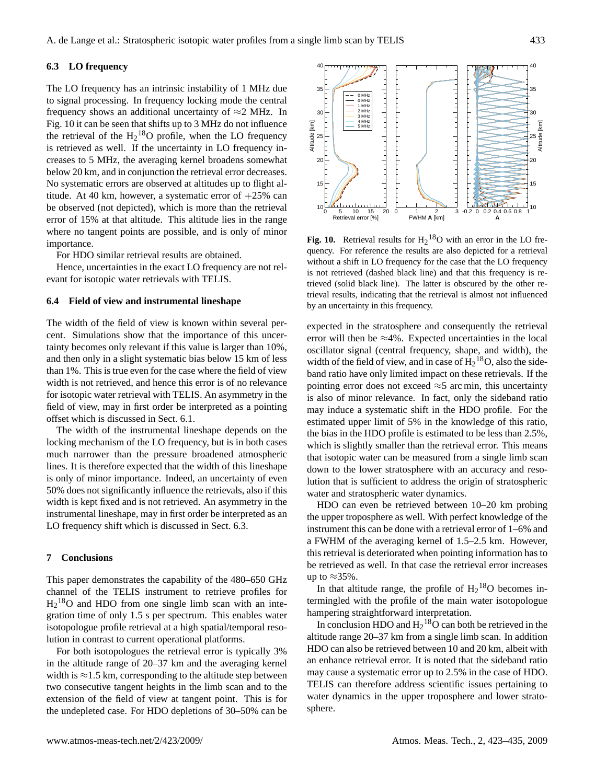## <span id="page-10-1"></span>**6.3 LO frequency**

The LO frequency has an intrinsic instability of 1 MHz due to signal processing. In frequency locking mode the central frequency shows an additional uncertainty of  $\approx$ 2 MHz. In Fig. [10](#page-10-0) it can be seen that shifts up to 3 MHz do not influence the retrieval of the  $H_2$ <sup>18</sup>O profile, when the LO frequency is retrieved as well. If the uncertainty in LO frequency increases to 5 MHz, the averaging kernel broadens somewhat below 20 km, and in conjunction the retrieval error decreases. No systematic errors are observed at altitudes up to flight altitude. At 40 km, however, a systematic error of  $+25\%$  can be observed (not depicted), which is more than the retrieval error of 15% at that altitude. This altitude lies in the range where no tangent points are possible, and is only of minor importance.

For HDO similar retrieval results are obtained.

Hence, uncertainties in the exact LO frequency are not relevant for isotopic water retrievals with TELIS.

## **6.4 Field of view and instrumental lineshape**

The width of the field of view is known within several percent. Simulations show that the importance of this uncertainty becomes only relevant if this value is larger than 10%, and then only in a slight systematic bias below 15 km of less than 1%. This is true even for the case where the field of view width is not retrieved, and hence this error is of no relevance for isotopic water retrieval with TELIS. An asymmetry in the field of view, may in first order be interpreted as a pointing offset which is discussed in Sect. [6.1.](#page-6-3)

The width of the instrumental lineshape depends on the locking mechanism of the LO frequency, but is in both cases much narrower than the pressure broadened atmospheric lines. It is therefore expected that the width of this lineshape is only of minor importance. Indeed, an uncertainty of even 50% does not significantly influence the retrievals, also if this width is kept fixed and is not retrieved. An asymmetry in the instrumental lineshape, may in first order be interpreted as an LO frequency shift which is discussed in Sect. [6.3.](#page-10-1)

## **7 Conclusions**

This paper demonstrates the capability of the 480–650 GHz channel of the TELIS instrument to retrieve profiles for  $H<sub>2</sub><sup>18</sup>O$  and HDO from one single limb scan with an integration time of only 1.5 s per spectrum. This enables water isotopologue profile retrieval at a high spatial/temporal resolution in contrast to current operational platforms.

For both isotopologues the retrieval error is typically 3% in the altitude range of 20–37 km and the averaging kernel width is  $\approx$ 1.5 km, corresponding to the altitude step between two consecutive tangent heights in the limb scan and to the extension of the field of view at tangent point. This is for the undepleted case. For HDO depletions of 30–50% can be



<span id="page-10-0"></span>**Fig. 10.** Retrieval results for  $H_2$ <sup>18</sup>O with an error in the LO frequency. For reference the results are also depicted for a retrieval without a shift in LO frequency for the case that the LO frequency is not retrieved (dashed black line) and that this frequency is retrieved (solid black line). The latter is obscured by the other retrieval results, indicating that the retrieval is almost not influenced by an uncertainty in this frequency.

expected in the stratosphere and consequently the retrieval error will then be  $\approx$ 4%. Expected uncertainties in the local oscillator signal (central frequency, shape, and width), the width of the field of view, and in case of  $H_2^{18}O$ , also the sideband ratio have only limited impact on these retrievals. If the pointing error does not exceed  $\approx$ 5 arc min, this uncertainty is also of minor relevance. In fact, only the sideband ratio may induce a systematic shift in the HDO profile. For the estimated upper limit of 5% in the knowledge of this ratio, the bias in the HDO profile is estimated to be less than 2.5%, which is slightly smaller than the retrieval error. This means that isotopic water can be measured from a single limb scan down to the lower stratosphere with an accuracy and resolution that is sufficient to address the origin of stratospheric water and stratospheric water dynamics.

HDO can even be retrieved between 10–20 km probing the upper troposphere as well. With perfect knowledge of the instrument this can be done with a retrieval error of 1–6% and a FWHM of the averaging kernel of 1.5–2.5 km. However, this retrieval is deteriorated when pointing information has to be retrieved as well. In that case the retrieval error increases up to  $\approx$ 35%.

In that altitude range, the profile of  $H_2$ <sup>18</sup>O becomes intermingled with the profile of the main water isotopologue hampering straightforward interpretation.

In conclusion HDO and  $H_2$ <sup>18</sup>O can both be retrieved in the altitude range 20–37 km from a single limb scan. In addition HDO can also be retrieved between 10 and 20 km, albeit with an enhance retrieval error. It is noted that the sideband ratio may cause a systematic error up to 2.5% in the case of HDO. TELIS can therefore address scientific issues pertaining to water dynamics in the upper troposphere and lower stratosphere.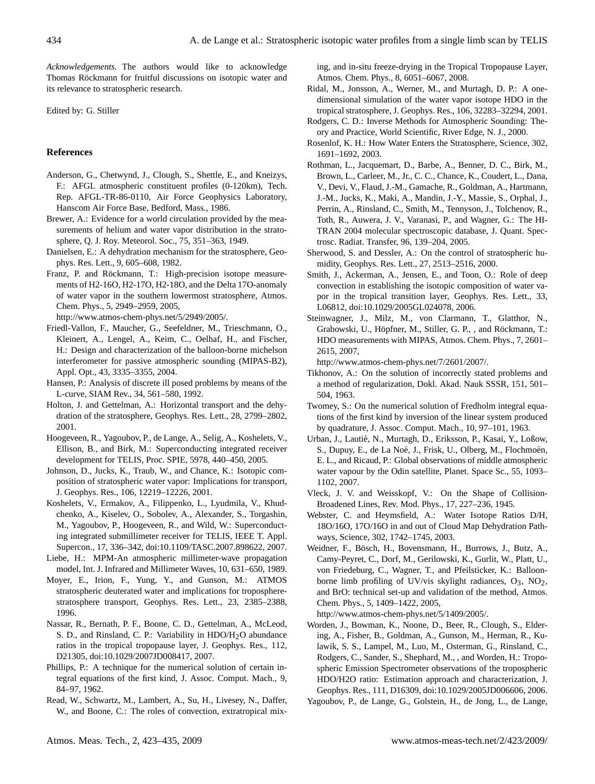*Acknowledgements.* The authors would like to acknowledge Thomas Röckmann for fruitful discussions on isotopic water and its relevance to stratospheric research.

Edited by: G. Stiller

## **References**

- <span id="page-11-28"></span>Anderson, G., Chetwynd, J., Clough, S., Shettle, E., and Kneizys, F.: AFGL atmospheric constituent profiles (0-120km), Tech. Rep. AFGL-TR-86-0110, Air Force Geophysics Laboratory, Hanscom Air Force Base, Bedford, Mass., 1986.
- <span id="page-11-0"></span>Brewer, A.: Evidence for a world circulation provided by the measurements of helium and water vapor distribution in the stratosphere, Q. J. Roy. Meteorol. Soc., 75, 351–363, 1949.
- <span id="page-11-4"></span>Danielsen, E.: A dehydration mechanism for the stratosphere, Geophys. Res. Lett., 9, 605–608, 1982.
- <span id="page-11-11"></span>Franz, P. and Röckmann, T.: High-precision isotope measurements of H2-16O, H2-17O, H2-18O, and the Delta 17O-anomaly of water vapor in the southern lowermost stratosphere, Atmos. Chem. Phys., 5, 2949–2959, 2005,

[http://www.atmos-chem-phys.net/5/2949/2005/.](http://www.atmos-chem-phys.net/5/2949/2005/)

- <span id="page-11-18"></span>Friedl-Vallon, F., Maucher, G., Seefeldner, M., Trieschmann, O., Kleinert, A., Lengel, A., Keim, C., Oelhaf, H., and Fischer, H.: Design and characterization of the balloon-borne michelson interferometer for passive atmospheric sounding (MIPAS-B2), Appl. Opt., 43, 3335–3355, 2004.
- <span id="page-11-27"></span>Hansen, P.: Analysis of discrete ill posed problems by means of the L-curve, SIAM Rev., 34, 561–580, 1992.
- <span id="page-11-3"></span>Holton, J. and Gettelman, A.: Horizontal transport and the dehydration of the stratosphere, Geophys. Res. Lett., 28, 2799–2802, 2001.
- <span id="page-11-16"></span>Hoogeveen, R., Yagoubov, P., de Lange, A., Selig, A., Koshelets, V., Ellison, B., and Birk, M.: Superconducting integrated receiver development for TELIS, Proc. SPIE, 5978, 440–450, 2005.
- <span id="page-11-9"></span>Johnson, D., Jucks, K., Traub, W., and Chance, K.: Isotopic composition of stratospheric water vapor: Implications for transport, J. Geophys. Res., 106, 12219–12226, 2001.
- <span id="page-11-20"></span>Koshelets, V., Ermakov, A., Filippenko, L., Lyudmila, V., Khudchenko, A., Kiselev, O., Sobolev, A., Alexander, S., Torgashin, M., Yagoubov, P., Hoogeveen, R., and Wild, W.: Superconducting integrated submillimeter receiver for TELIS, IEEE T. Appl. Supercon., 17, 336–342, doi:10.1109/TASC.2007.898622, 2007.
- <span id="page-11-23"></span>Liebe, H.: MPM-An atmospheric millimeter-wave propagation model, Int. J. Infrared and Millimeter Waves, 10, 631–650, 1989.
- <span id="page-11-5"></span>Moyer, E., Irion, F., Yung, Y., and Gunson, M.: ATMOS stratospheric deuterated water and implications for tropospherestratosphere transport, Geophys. Res. Lett., 23, 2385–2388, 1996.
- <span id="page-11-14"></span>Nassar, R., Bernath, P. F., Boone, C. D., Gettelman, A., McLeod, S. D., and Rinsland, C. P.: Variability in HDO/H<sub>2</sub>O abundance ratios in the tropical tropopause layer, J. Geophys. Res., 112, D21305, doi:10.1029/2007JD008417, 2007.
- <span id="page-11-25"></span>Phillips, P.: A technique for the numerical solution of certain integral equations of the first kind, J. Assoc. Comput. Mach., 9, 84–97, 1962.
- <span id="page-11-8"></span>Read, W., Schwartz, M., Lambert, A., Su, H., Livesey, N., Daffer, W., and Boone, C.: The roles of convection, extratropical mix-

ing, and in-situ freeze-drying in the Tropical Tropopause Layer, Atmos. Chem. Phys., 8, 6051–6067, 2008.

- <span id="page-11-10"></span>Ridal, M., Jonsson, A., Werner, M., and Murtagh, D. P.: A onedimensional simulation of the water vapor isotope HDO in the tropical stratosphere, J. Geophys. Res., 106, 32283–32294, 2001.
- <span id="page-11-29"></span>Rodgers, C. D.: Inverse Methods for Atmospheric Sounding: Theory and Practice, World Scientific, River Edge, N. J., 2000.
- <span id="page-11-1"></span>Rosenlof, K. H.: How Water Enters the Stratosphere, Science, 302, 1691–1692, 2003.
- <span id="page-11-22"></span>Rothman, L., Jacquemart, D., Barbe, A., Benner, D. C., Birk, M., Brown, L., Carleer, M., Jr., C. C., Chance, K., Coudert, L., Dana, V., Devi, V., Flaud, J.-M., Gamache, R., Goldman, A., Hartmann, J.-M., Jucks, K., Maki, A., Mandin, J.-Y., Massie, S., Orphal, J., Perrin, A., Rinsland, C., Smith, M., Tennyson, J., Tolchenov, R., Toth, R., Auwera, J. V., Varanasi, P., and Wagner, G.: The HI-TRAN 2004 molecular spectroscopic database, J. Quant. Spectrosc. Radiat. Transfer, 96, 139–204, 2005.
- <span id="page-11-2"></span>Sherwood, S. and Dessler, A.: On the control of stratospheric humidity, Geophys. Res. Lett., 27, 2513–2516, 2000.
- <span id="page-11-6"></span>Smith, J., Ackerman, A., Jensen, E., and Toon, O.: Role of deep convection in establishing the isotopic composition of water vapor in the tropical transition layer, Geophys. Res. Lett., 33, L06812, doi:10.1029/2005GL024078, 2006.
- <span id="page-11-12"></span>Steinwagner, J., Milz, M., von Clarmann, T., Glatthor, N., Grabowski, U., Höpfner, M., Stiller, G. P., , and Röckmann, T.: HDO measurements with MIPAS, Atmos. Chem. Phys., 7, 2601– 2615, 2007,

[http://www.atmos-chem-phys.net/7/2601/2007/.](http://www.atmos-chem-phys.net/7/2601/2007/)

- <span id="page-11-24"></span>Tikhonov, A.: On the solution of incorrectly stated problems and a method of regularization, Dokl. Akad. Nauk SSSR, 151, 501– 504, 1963.
- <span id="page-11-26"></span>Twomey, S.: On the numerical solution of Fredholm integral equations of the first kind by inversion of the linear system produced by quadrature, J. Assoc. Comput. Mach., 10, 97–101, 1963.
- <span id="page-11-13"></span>Urban, J., Lautié, N., Murtagh, D., Eriksson, P., Kasai, Y., Loßow, S., Dupuy, E., de La Noë, J., Frisk, U., Olberg, M., Flochmoën, E. L., and Ricaud, P.: Global observations of middle atmospheric water vapour by the Odin satellite, Planet. Space Sc., 55, 1093– 1102, 2007.
- <span id="page-11-21"></span>Vleck, J. V. and Weisskopf, V.: On the Shape of Collision-Broadened Lines, Rev. Mod. Phys., 17, 227–236, 1945.
- <span id="page-11-7"></span>Webster, C. and Heymsfield, A.: Water Isotope Ratios D/H, 18O/16O, 17O/16O in and out of Cloud Map Dehydration Pathways, Science, 302, 1742–1745, 2003.
- <span id="page-11-19"></span>Weidner, F., Bösch, H., Bovensmann, H., Burrows, J., Butz, A., Camy-Peyret, C., Dorf, M., Gerilowski, K., Gurlit, W., Platt, U., von Friedeburg, C., Wagner, T., and Pfeilsticker, K.: Balloonborne limb profiling of UV/vis skylight radiances,  $O_3$ ,  $NO_2$ , and BrO: technical set-up and validation of the method, Atmos. Chem. Phys., 5, 1409–1422, 2005,

[http://www.atmos-chem-phys.net/5/1409/2005/.](http://www.atmos-chem-phys.net/5/1409/2005/)

- <span id="page-11-15"></span>Worden, J., Bowman, K., Noone, D., Beer, R., Clough, S., Eldering, A., Fisher, B., Goldman, A., Gunson, M., Herman, R., Kulawik, S. S., Lampel, M., Luo, M., Osterman, G., Rinsland, C., Rodgers, C., Sander, S., Shephard, M., , and Worden, H.: Tropospheric Emission Spectrometer observations of the tropospheric HDO/H2O ratio: Estimation approach and characterization, J. Geophys. Res., 111, D16309, doi:10.1029/2005JD006606, 2006.
- <span id="page-11-17"></span>Yagoubov, P., de Lange, G., Golstein, H., de Jong, L., de Lange,